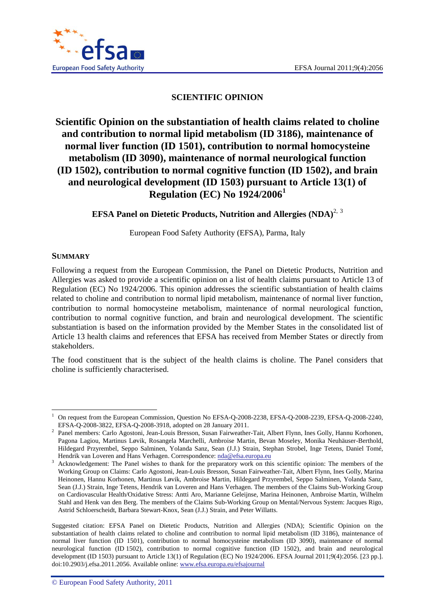

## **SCIENTIFIC OPINION**

# **Scientific Opinion on the substantiation of health claims related to choline and contribution to normal lipid metabolism (ID 3186), maintenance of normal liver function (ID 1501), contribution to normal homocysteine metabolism (ID 3090), maintenance of normal neurological function (ID 1502), contribution to normal cognitive function (ID 1502), and brain and neurological development (ID 1503) pursuant to Article 13(1) of Regulation (EC) No 1924/2006<sup>1</sup>**

**EFSA Panel on Dietetic Products, Nutrition and Allergies (NDA)<sup>2, 3</sup>** 

European Food Safety Authority (EFSA), Parma, Italy

### <span id="page-0-0"></span>**SUMMARY**

 $\overline{a}$ 

Following a request from the European Commission, the Panel on Dietetic Products, Nutrition and Allergies was asked to provide a scientific opinion on a list of health claims pursuant to Article 13 of Regulation (EC) No 1924/2006. This opinion addresses the scientific substantiation of health claims related to choline and contribution to normal lipid metabolism, maintenance of normal liver function, contribution to normal homocysteine metabolism, maintenance of normal neurological function, contribution to normal cognitive function, and brain and neurological development. The scientific substantiation is based on the information provided by the Member States in the consolidated list of Article 13 health claims and references that EFSA has received from Member States or directly from stakeholders.

The food constituent that is the subject of the health claims is choline. The Panel considers that choline is sufficiently characterised.

<sup>1</sup> On request from the European Commission, Question No EFSA-Q-2008-2238, EFSA-Q-2008-2239, EFSA-Q-2008-2240, EFSA-Q-2008-3822, EFSA-Q-2008-3918, adopted on 28 January 2011.

<sup>&</sup>lt;sup>2</sup> Panel members: Carlo Agostoni, Jean-Louis Bresson, Susan Fairweather-Tait, Albert Flynn, Ines Golly, Hannu Korhonen, Pagona Lagiou, Martinus Løvik, Rosangela Marchelli, Ambroise Martin, Bevan Moseley, Monika Neuhäuser-Berthold, Hildegard Przyrembel, Seppo Salminen, Yolanda Sanz, Sean (J.J.) Strain, Stephan Strobel, Inge Tetens, Daniel Tomé, Hendrik van Loveren and Hans Verhagen. Correspondence: [nda@efsa.europa.eu](mailto:nda@efsa.europa.eu)

<sup>3</sup> Acknowledgement: The Panel wishes to thank for the preparatory work on this scientific opinion: The members of the Working Group on Claims: Carlo Agostoni, Jean-Louis Bresson, Susan Fairweather-Tait, Albert Flynn, Ines Golly, Marina Heinonen, Hannu Korhonen, Martinus Løvik, Ambroise Martin, Hildegard Przyrembel, Seppo Salminen, Yolanda Sanz, Sean (J.J.) Strain, Inge Tetens, Hendrik van Loveren and Hans Verhagen. The members of the Claims Sub-Working Group on Cardiovascular Health/Oxidative Stress: Antti Aro, Marianne Geleijnse, Marina Heinonen, Ambroise Martin, Wilhelm Stahl and Henk van den Berg. The members of the Claims Sub-Working Group on Mental/Nervous System: Jacques Rigo, Astrid Schloerscheidt, Barbara Stewart-Knox, Sean (J.J.) Strain, and Peter Willatts.

Suggested citation: EFSA Panel on Dietetic Products, Nutrition and Allergies (NDA); Scientific Opinion on the substantiation of health claims related to choline and contribution to normal lipid metabolism (ID 3186), maintenance of normal liver function (ID 1501), contribution to normal homocysteine metabolism (ID 3090), maintenance of normal neurological function (ID 1502), contribution to normal cognitive function (ID 1502), and brain and neurological development (ID 1503) pursuant to Article 13(1) of Regulation (EC) No 1924/2006. EFSA Journal 2011;9(4):2056. [23 pp.]. doi:10.2903/j.efsa.2011.2056. Available online: www.efsa.europa.eu/efsajournal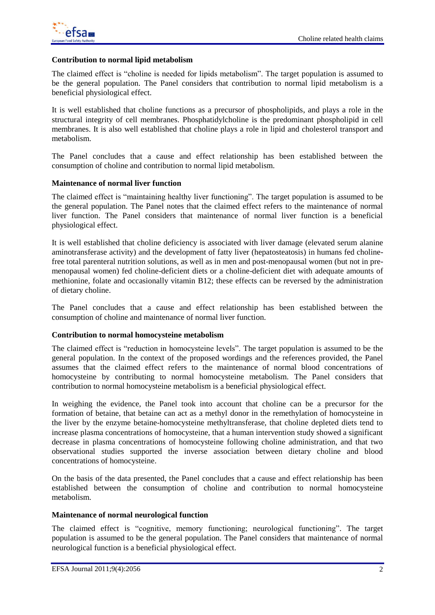

#### **Contribution to normal lipid metabolism**

The claimed effect is "choline is needed for lipids metabolism". The target population is assumed to be the general population. The Panel considers that contribution to normal lipid metabolism is a beneficial physiological effect.

It is well established that choline functions as a precursor of phospholipids, and plays a role in the structural integrity of cell membranes. Phosphatidylcholine is the predominant phospholipid in cell membranes. It is also well established that choline plays a role in lipid and cholesterol transport and metabolism.

The Panel concludes that a cause and effect relationship has been established between the consumption of choline and contribution to normal lipid metabolism.

#### **Maintenance of normal liver function**

The claimed effect is "maintaining healthy liver functioning". The target population is assumed to be the general population. The Panel notes that the claimed effect refers to the maintenance of normal liver function. The Panel considers that maintenance of normal liver function is a beneficial physiological effect.

It is well established that choline deficiency is associated with liver damage (elevated serum alanine aminotransferase activity) and the development of fatty liver (hepatosteatosis) in humans fed cholinefree total parenteral nutrition solutions, as well as in men and post-menopausal women (but not in premenopausal women) fed choline-deficient diets or a choline-deficient diet with adequate amounts of methionine, folate and occasionally vitamin B12; these effects can be reversed by the administration of dietary choline.

The Panel concludes that a cause and effect relationship has been established between the consumption of choline and maintenance of normal liver function.

### **Contribution to normal homocysteine metabolism**

The claimed effect is "reduction in homocysteine levels". The target population is assumed to be the general population. In the context of the proposed wordings and the references provided, the Panel assumes that the claimed effect refers to the maintenance of normal blood concentrations of homocysteine by contributing to normal homocysteine metabolism. The Panel considers that contribution to normal homocysteine metabolism is a beneficial physiological effect.

In weighing the evidence, the Panel took into account that choline can be a precursor for the formation of betaine, that betaine can act as a methyl donor in the remethylation of homocysteine in the liver by the enzyme betaine-homocysteine methyltransferase, that choline depleted diets tend to increase plasma concentrations of homocysteine, that a human intervention study showed a significant decrease in plasma concentrations of homocysteine following choline administration, and that two observational studies supported the inverse association between dietary choline and blood concentrations of homocysteine.

On the basis of the data presented, the Panel concludes that a cause and effect relationship has been established between the consumption of choline and contribution to normal homocysteine metabolism.

#### **Maintenance of normal neurological function**

The claimed effect is "cognitive, memory functioning; neurological functioning". The target population is assumed to be the general population. The Panel considers that maintenance of normal neurological function is a beneficial physiological effect.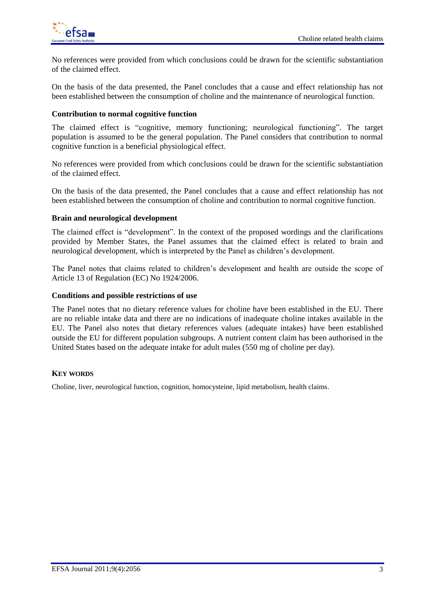

No references were provided from which conclusions could be drawn for the scientific substantiation of the claimed effect.

On the basis of the data presented, the Panel concludes that a cause and effect relationship has not been established between the consumption of choline and the maintenance of neurological function.

### **Contribution to normal cognitive function**

The claimed effect is "cognitive, memory functioning; neurological functioning". The target population is assumed to be the general population. The Panel considers that contribution to normal cognitive function is a beneficial physiological effect.

No references were provided from which conclusions could be drawn for the scientific substantiation of the claimed effect.

On the basis of the data presented, the Panel concludes that a cause and effect relationship has not been established between the consumption of choline and contribution to normal cognitive function.

### **Brain and neurological development**

The claimed effect is "development". In the context of the proposed wordings and the clarifications provided by Member States, the Panel assumes that the claimed effect is related to brain and neurological development, which is interpreted by the Panel as children's development.

The Panel notes that claims related to children's development and health are outside the scope of Article 13 of Regulation (EC) No 1924/2006.

### **Conditions and possible restrictions of use**

The Panel notes that no dietary reference values for choline have been established in the EU. There are no reliable intake data and there are no indications of inadequate choline intakes available in the EU. The Panel also notes that dietary references values (adequate intakes) have been established outside the EU for different population subgroups. A nutrient content claim has been authorised in the United States based on the adequate intake for adult males (550 mg of choline per day).

### **KEY WORDS**

Choline, liver, neurological function, cognition, homocysteine, lipid metabolism, health claims.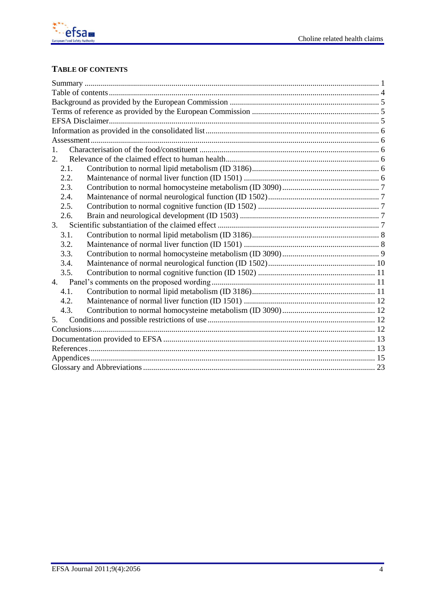

## <span id="page-3-0"></span>**TABLE OF CONTENTS**

| $\mathbf{1}$ . |  |  |
|----------------|--|--|
| $2_{-}$        |  |  |
| 2.1.           |  |  |
| 2.2.           |  |  |
| 2.3.           |  |  |
| 2.4.           |  |  |
| 2.5.           |  |  |
| 2.6.           |  |  |
| 3.             |  |  |
| 3.1.           |  |  |
| 3.2.           |  |  |
| 3.3.           |  |  |
| 3.4.           |  |  |
| 3.5.           |  |  |
|                |  |  |
| 4.1.           |  |  |
| 4.2.           |  |  |
| 4.3.           |  |  |
| 5.             |  |  |
|                |  |  |
|                |  |  |
|                |  |  |
|                |  |  |
|                |  |  |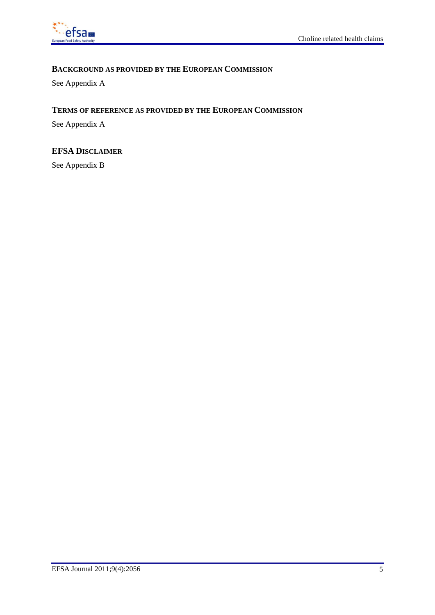

## <span id="page-4-0"></span>**BACKGROUND AS PROVIDED BY THE EUROPEAN COMMISSION**

See Appendix A

## <span id="page-4-1"></span>**TERMS OF REFERENCE AS PROVIDED BY THE EUROPEAN COMMISSION**

See Appendix A

## <span id="page-4-2"></span>**EFSA DISCLAIMER**

See Appendix B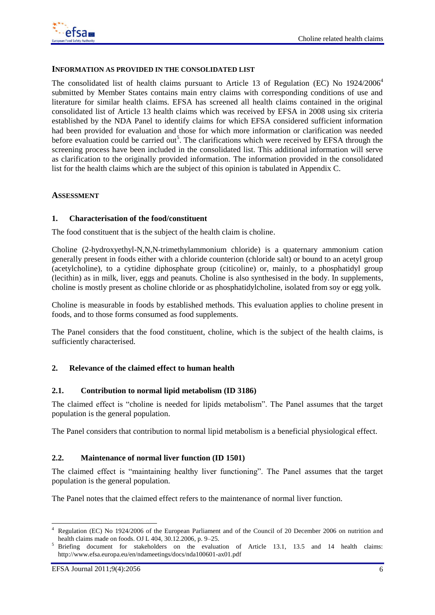### <span id="page-5-0"></span>**INFORMATION AS PROVIDED IN THE CONSOLIDATED LIST**

The consolidated list of health claims pursuant to Article 13 of Regulation (EC) No 1924/2006<sup>4</sup> submitted by Member States contains main entry claims with corresponding conditions of use and literature for similar health claims. EFSA has screened all health claims contained in the original consolidated list of Article 13 health claims which was received by EFSA in 2008 using six criteria established by the NDA Panel to identify claims for which EFSA considered sufficient information had been provided for evaluation and those for which more information or clarification was needed before evaluation could be carried out<sup>5</sup>. The clarifications which were received by EFSA through the screening process have been included in the consolidated list. This additional information will serve as clarification to the originally provided information. The information provided in the consolidated list for the health claims which are the subject of this opinion is tabulated in Appendix C.

### <span id="page-5-1"></span>**ASSESSMENT**

### <span id="page-5-2"></span>**1. Characterisation of the food/constituent**

The food constituent that is the subject of the health claim is choline.

Choline (2-hydroxyethyl-N,N,N-trimethylammonium chloride) is a quaternary ammonium cation generally present in foods either with a chloride counterion (chloride salt) or bound to an acetyl group (acetylcholine), to a cytidine diphosphate group (citicoline) or, mainly, to a phosphatidyl group (lecithin) as in milk, liver, eggs and peanuts. Choline is also synthesised in the body. In supplements, choline is mostly present as choline chloride or as phosphatidylcholine, isolated from soy or egg yolk.

Choline is measurable in foods by established methods. This evaluation applies to choline present in foods, and to those forms consumed as food supplements.

The Panel considers that the food constituent, choline, which is the subject of the health claims, is sufficiently characterised.

### <span id="page-5-3"></span>**2. Relevance of the claimed effect to human health**

### <span id="page-5-4"></span>**2.1. Contribution to normal lipid metabolism (ID 3186)**

The claimed effect is "choline is needed for lipids metabolism". The Panel assumes that the target population is the general population.

The Panel considers that contribution to normal lipid metabolism is a beneficial physiological effect.

### <span id="page-5-5"></span>**2.2. Maintenance of normal liver function (ID 1501)**

The claimed effect is "maintaining healthy liver functioning". The Panel assumes that the target population is the general population.

The Panel notes that the claimed effect refers to the maintenance of normal liver function.

 $\overline{a}$ 

<sup>4</sup> Regulation (EC) No 1924/2006 of the European Parliament and of the Council of 20 December 2006 on nutrition and health claims made on foods. OJ L 404, 30.12.2006, p. 9–25.

<sup>&</sup>lt;sup>5</sup> Briefing document for stakeholders on the evaluation of Article 13.1, 13.5 and 14 health claims: <http://www.efsa.europa.eu/en/ndameetings/docs/nda100601-ax01.pdf>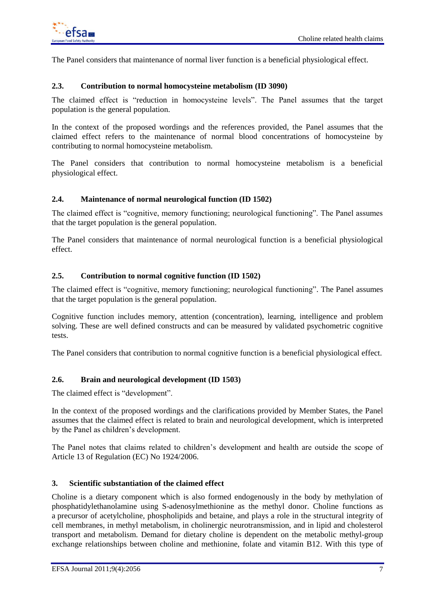The Panel considers that maintenance of normal liver function is a beneficial physiological effect.

### <span id="page-6-0"></span>**2.3. Contribution to normal homocysteine metabolism (ID 3090)**

The claimed effect is "reduction in homocysteine levels". The Panel assumes that the target population is the general population.

In the context of the proposed wordings and the references provided, the Panel assumes that the claimed effect refers to the maintenance of normal blood concentrations of homocysteine by contributing to normal homocysteine metabolism.

The Panel considers that contribution to normal homocysteine metabolism is a beneficial physiological effect.

### <span id="page-6-1"></span>**2.4. Maintenance of normal neurological function (ID 1502)**

The claimed effect is "cognitive, memory functioning; neurological functioning". The Panel assumes that the target population is the general population.

The Panel considers that maintenance of normal neurological function is a beneficial physiological effect.

### <span id="page-6-2"></span>**2.5. Contribution to normal cognitive function (ID 1502)**

The claimed effect is "cognitive, memory functioning; neurological functioning". The Panel assumes that the target population is the general population.

Cognitive function includes memory, attention (concentration), learning, intelligence and problem solving. These are well defined constructs and can be measured by validated psychometric cognitive tests.

The Panel considers that contribution to normal cognitive function is a beneficial physiological effect.

### <span id="page-6-3"></span>**2.6. Brain and neurological development (ID 1503)**

The claimed effect is "development".

In the context of the proposed wordings and the clarifications provided by Member States, the Panel assumes that the claimed effect is related to brain and neurological development, which is interpreted by the Panel as children's development.

The Panel notes that claims related to children's development and health are outside the scope of Article 13 of Regulation (EC) No 1924/2006.

## <span id="page-6-4"></span>**3. Scientific substantiation of the claimed effect**

Choline is a dietary component which is also formed endogenously in the body by methylation of phosphatidylethanolamine using S-adenosylmethionine as the methyl donor. Choline functions as a precursor of acetylcholine, phospholipids and betaine, and plays a role in the structural integrity of cell membranes, in methyl metabolism, in cholinergic neurotransmission, and in lipid and cholesterol transport and metabolism. Demand for dietary choline is dependent on the metabolic methyl-group exchange relationships between choline and methionine, folate and vitamin B12. With this type of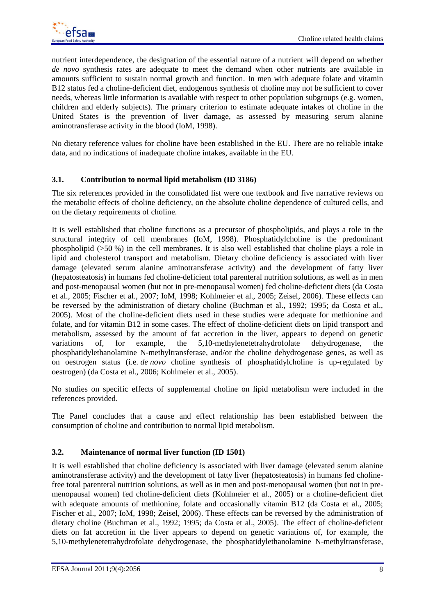nutrient interdependence, the designation of the essential nature of a nutrient will depend on whether *de novo* synthesis rates are adequate to meet the demand when other nutrients are available in amounts sufficient to sustain normal growth and function. In men with adequate folate and vitamin B12 status fed a choline-deficient diet, endogenous synthesis of choline may not be sufficient to cover needs, whereas little information is available with respect to other population subgroups (e.g. women, children and elderly subjects). The primary criterion to estimate adequate intakes of choline in the United States is the prevention of liver damage, as assessed by measuring serum alanine aminotransferase activity in the blood (IoM, 1998).

No dietary reference values for choline have been established in the EU. There are no reliable intake data, and no indications of inadequate choline intakes, available in the EU.

## <span id="page-7-0"></span>**3.1. Contribution to normal lipid metabolism (ID 3186)**

The six references provided in the consolidated list were one textbook and five narrative reviews on the metabolic effects of choline deficiency, on the absolute choline dependence of cultured cells, and on the dietary requirements of choline.

It is well established that choline functions as a precursor of phospholipids, and plays a role in the structural integrity of cell membranes (IoM, 1998). Phosphatidylcholine is the predominant phospholipid (>50 %) in the cell membranes. It is also well established that choline plays a role in lipid and cholesterol transport and metabolism. Dietary choline deficiency is associated with liver damage (elevated serum alanine aminotransferase activity) and the development of fatty liver (hepatosteatosis) in humans fed choline-deficient total parenteral nutrition solutions, as well as in men and post-menopausal women (but not in pre-menopausal women) fed choline-deficient diets (da Costa et al., 2005; Fischer et al., 2007; IoM, 1998; Kohlmeier et al., 2005; Zeisel, 2006). These effects can be reversed by the administration of dietary choline (Buchman et al., 1992; 1995; da Costa et al., 2005). Most of the choline-deficient diets used in these studies were adequate for methionine and folate, and for vitamin B12 in some cases. The effect of choline-deficient diets on lipid transport and metabolism, assessed by the amount of fat accretion in the liver, appears to depend on genetic variations of, for example, the 5,10-methylenetetrahydrofolate dehydrogenase, the phosphatidylethanolamine N-methyltransferase, and/or the choline dehydrogenase genes, as well as on oestrogen status (i.e. *de novo* choline synthesis of phosphatidylcholine is up-regulated by oestrogen) (da Costa et al., 2006; Kohlmeier et al., 2005).

No studies on specific effects of supplemental choline on lipid metabolism were included in the references provided.

The Panel concludes that a cause and effect relationship has been established between the consumption of choline and contribution to normal lipid metabolism.

## <span id="page-7-1"></span>**3.2. Maintenance of normal liver function (ID 1501)**

It is well established that choline deficiency is associated with liver damage (elevated serum alanine aminotransferase activity) and the development of fatty liver (hepatosteatosis) in humans fed cholinefree total parenteral nutrition solutions, as well as in men and post-menopausal women (but not in premenopausal women) fed choline-deficient diets (Kohlmeier et al., 2005) or a choline-deficient diet with adequate amounts of methionine, folate and occasionally vitamin B12 (da Costa et al., 2005; Fischer et al., 2007; IoM, 1998; Zeisel, 2006). These effects can be reversed by the administration of dietary choline (Buchman et al., 1992; 1995; da Costa et al., 2005). The effect of choline-deficient diets on fat accretion in the liver appears to depend on genetic variations of, for example, the 5,10-methylenetetrahydrofolate dehydrogenase, the phosphatidylethanolamine N-methyltransferase,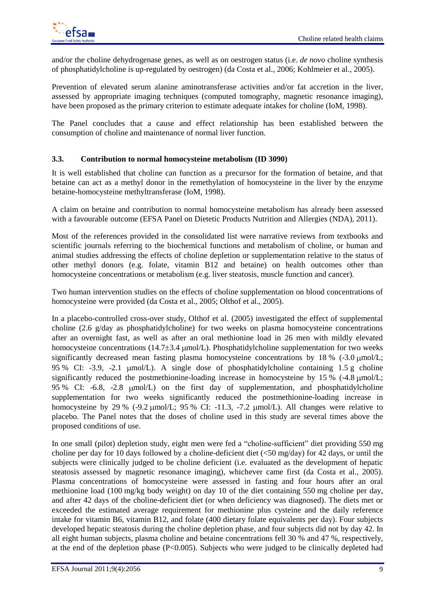and/or the choline dehydrogenase genes, as well as on oestrogen status (i.e. *de novo* choline synthesis of phosphatidylcholine is up-regulated by oestrogen) (da Costa et al., 2006; Kohlmeier et al., 2005).

Prevention of elevated serum alanine aminotransferase activities and/or fat accretion in the liver, assessed by appropriate imaging techniques (computed tomography, magnetic resonance imaging), have been proposed as the primary criterion to estimate adequate intakes for choline (IoM, 1998).

The Panel concludes that a cause and effect relationship has been established between the consumption of choline and maintenance of normal liver function.

## <span id="page-8-0"></span>**3.3. Contribution to normal homocysteine metabolism (ID 3090)**

It is well established that choline can function as a precursor for the formation of betaine, and that betaine can act as a methyl donor in the remethylation of homocysteine in the liver by the enzyme betaine-homocysteine methyltransferase (IoM, 1998).

A claim on betaine and contribution to normal homocysteine metabolism has already been assessed with a favourable outcome (EFSA Panel on Dietetic Products Nutrition and Allergies (NDA), 2011).

Most of the references provided in the consolidated list were narrative reviews from textbooks and scientific journals referring to the biochemical functions and metabolism of choline, or human and animal studies addressing the effects of choline depletion or supplementation relative to the status of other methyl donors (e.g. folate, vitamin B12 and betaine) on health outcomes other than homocysteine concentrations or metabolism (e.g. liver steatosis, muscle function and cancer).

Two human intervention studies on the effects of choline supplementation on blood concentrations of homocysteine were provided (da Costa et al., 2005; Olthof et al., 2005).

In a placebo-controlled cross-over study, Olthof et al. (2005) investigated the effect of supplemental choline (2.6 g/day as phosphatidylcholine) for two weeks on plasma homocysteine concentrations after an overnight fast, as well as after an oral methionine load in 26 men with mildly elevated homocysteine concentrations (14.7 $\pm$ 3.4  $\mu$ mol/L). Phosphatidylcholine supplementation for two weeks significantly decreased mean fasting plasma homocysteine concentrations by  $18\%$  (-3.0  $\mu$ mol/L; 95 % CI: -3.9, -2.1 mol/L). A single dose of phosphatidylcholine containing 1.5 g choline significantly reduced the postmethionine-loading increase in homocysteine by 15 %  $(-4.8 \text{ mmol/L})$ ; 95 % CI: -6.8, -2.8 mol/L) on the first day of supplementation, and phosphatidylcholine supplementation for two weeks significantly reduced the postmethionine-loading increase in homocysteine by 29 %  $(-9.2 \mu \text{mol/L}; 95 \text{% CI: } -11.3, -7.2 \mu \text{mol/L}).$  All changes were relative to placebo. The Panel notes that the doses of choline used in this study are several times above the proposed conditions of use.

In one small (pilot) depletion study, eight men were fed a "choline-sufficient" diet providing 550 mg choline per day for 10 days followed by a choline-deficient diet (<50 mg/day) for 42 days, or until the subjects were clinically judged to be choline deficient (i.e. evaluated as the development of hepatic steatosis assessed by magnetic resonance imaging), whichever came first (da Costa et al., 2005). Plasma concentrations of homocysteine were assessed in fasting and four hours after an oral methionine load (100 mg/kg body weight) on day 10 of the diet containing 550 mg choline per day, and after 42 days of the choline-deficient diet (or when deficiency was diagnosed). The diets met or exceeded the estimated average requirement for methionine plus cysteine and the daily reference intake for vitamin B6, vitamin B12, and folate (400 dietary folate equivalents per day). Four subjects developed hepatic steatosis during the choline depletion phase, and four subjects did not by day 42. In all eight human subjects, plasma choline and betaine concentrations fell 30 % and 47 %, respectively, at the end of the depletion phase  $(P< 0.005)$ . Subjects who were judged to be clinically depleted had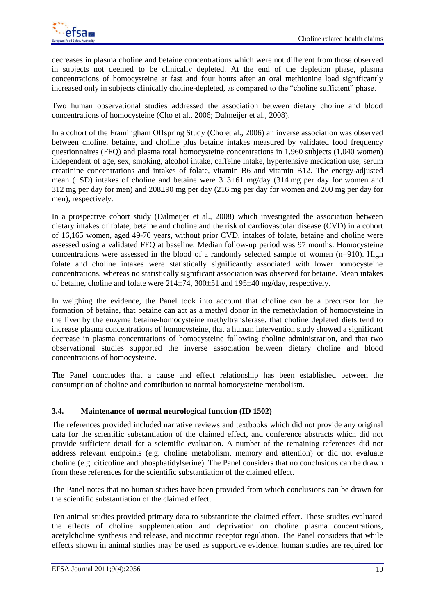

decreases in plasma choline and betaine concentrations which were not different from those observed in subjects not deemed to be clinically depleted. At the end of the depletion phase, plasma concentrations of homocysteine at fast and four hours after an oral methionine load significantly increased only in subjects clinically choline-depleted, as compared to the "choline sufficient" phase.

Two human observational studies addressed the association between dietary choline and blood concentrations of homocysteine (Cho et al., 2006; Dalmeijer et al., 2008).

In a cohort of the Framingham Offspring Study (Cho et al., 2006) an inverse association was observed between choline, betaine, and choline plus betaine intakes measured by validated food frequency questionnaires (FFQ) and plasma total homocysteine concentrations in 1,960 subjects (1,040 women) independent of age, sex, smoking, alcohol intake, caffeine intake, hypertensive medication use, serum creatinine concentrations and intakes of folate, vitamin B6 and vitamin B12. The energy-adjusted mean (±SD) intakes of choline and betaine were 313±61 mg/day (314 mg per day for women and 312 mg per day for men) and 208±90 mg per day (216 mg per day for women and 200 mg per day for men), respectively.

In a prospective cohort study (Dalmeijer et al., 2008) which investigated the association between dietary intakes of folate, betaine and choline and the risk of cardiovascular disease (CVD) in a cohort of 16,165 women, aged 49-70 years, without prior CVD, intakes of folate, betaine and choline were assessed using a validated FFQ at baseline. Median follow-up period was 97 months. Homocysteine concentrations were assessed in the blood of a randomly selected sample of women (n=910). High folate and choline intakes were statistically significantly associated with lower homocysteine concentrations, whereas no statistically significant association was observed for betaine. Mean intakes of betaine, choline and folate were  $214\pm74$ ,  $300\pm51$  and  $195\pm40$  mg/day, respectively.

In weighing the evidence, the Panel took into account that choline can be a precursor for the formation of betaine, that betaine can act as a methyl donor in the remethylation of homocysteine in the liver by the enzyme betaine-homocysteine methyltransferase, that choline depleted diets tend to increase plasma concentrations of homocysteine, that a human intervention study showed a significant decrease in plasma concentrations of homocysteine following choline administration, and that two observational studies supported the inverse association between dietary choline and blood concentrations of homocysteine.

The Panel concludes that a cause and effect relationship has been established between the consumption of choline and contribution to normal homocysteine metabolism.

### <span id="page-9-0"></span>**3.4. Maintenance of normal neurological function (ID 1502)**

The references provided included narrative reviews and textbooks which did not provide any original data for the scientific substantiation of the claimed effect, and conference abstracts which did not provide sufficient detail for a scientific evaluation. A number of the remaining references did not address relevant endpoints (e.g. choline metabolism, memory and attention) or did not evaluate choline (e.g. citicoline and phosphatidylserine). The Panel considers that no conclusions can be drawn from these references for the scientific substantiation of the claimed effect.

The Panel notes that no human studies have been provided from which conclusions can be drawn for the scientific substantiation of the claimed effect.

Ten animal studies provided primary data to substantiate the claimed effect. These studies evaluated the effects of choline supplementation and deprivation on choline plasma concentrations, acetylcholine synthesis and release, and nicotinic receptor regulation. The Panel considers that while effects shown in animal studies may be used as supportive evidence, human studies are required for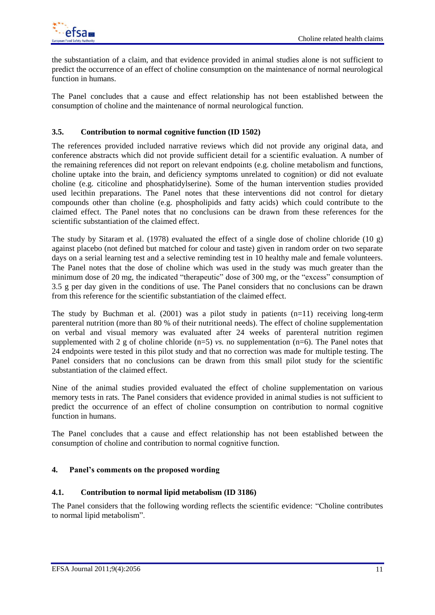the substantiation of a claim, and that evidence provided in animal studies alone is not sufficient to predict the occurrence of an effect of choline consumption on the maintenance of normal neurological function in humans.

The Panel concludes that a cause and effect relationship has not been established between the consumption of choline and the maintenance of normal neurological function.

## <span id="page-10-0"></span>**3.5. Contribution to normal cognitive function (ID 1502)**

The references provided included narrative reviews which did not provide any original data, and conference abstracts which did not provide sufficient detail for a scientific evaluation. A number of the remaining references did not report on relevant endpoints (e.g. choline metabolism and functions, choline uptake into the brain, and deficiency symptoms unrelated to cognition) or did not evaluate choline (e.g. citicoline and phosphatidylserine). Some of the human intervention studies provided used lecithin preparations. The Panel notes that these interventions did not control for dietary compounds other than choline (e.g. phospholipids and fatty acids) which could contribute to the claimed effect. The Panel notes that no conclusions can be drawn from these references for the scientific substantiation of the claimed effect.

The study by Sitaram et al. (1978) evaluated the effect of a single dose of choline chloride (10 g) against placebo (not defined but matched for colour and taste) given in random order on two separate days on a serial learning test and a selective reminding test in 10 healthy male and female volunteers. The Panel notes that the dose of choline which was used in the study was much greater than the minimum dose of 20 mg, the indicated "therapeutic" dose of 300 mg, or the "excess" consumption of 3.5 g per day given in the conditions of use. The Panel considers that no conclusions can be drawn from this reference for the scientific substantiation of the claimed effect.

The study by Buchman et al. (2001) was a pilot study in patients  $(n=11)$  receiving long-term parenteral nutrition (more than 80 % of their nutritional needs). The effect of choline supplementation on verbal and visual memory was evaluated after 24 weeks of parenteral nutrition regimen supplemented with 2 g of choline chloride  $(n=5)$  *vs.* no supplementation  $(n=6)$ . The Panel notes that 24 endpoints were tested in this pilot study and that no correction was made for multiple testing. The Panel considers that no conclusions can be drawn from this small pilot study for the scientific substantiation of the claimed effect.

Nine of the animal studies provided evaluated the effect of choline supplementation on various memory tests in rats. The Panel considers that evidence provided in animal studies is not sufficient to predict the occurrence of an effect of choline consumption on contribution to normal cognitive function in humans.

The Panel concludes that a cause and effect relationship has not been established between the consumption of choline and contribution to normal cognitive function.

## <span id="page-10-1"></span>**4. Panel's comments on the proposed wording**

## <span id="page-10-2"></span>**4.1. Contribution to normal lipid metabolism (ID 3186)**

The Panel considers that the following wording reflects the scientific evidence: "Choline contributes to normal lipid metabolism".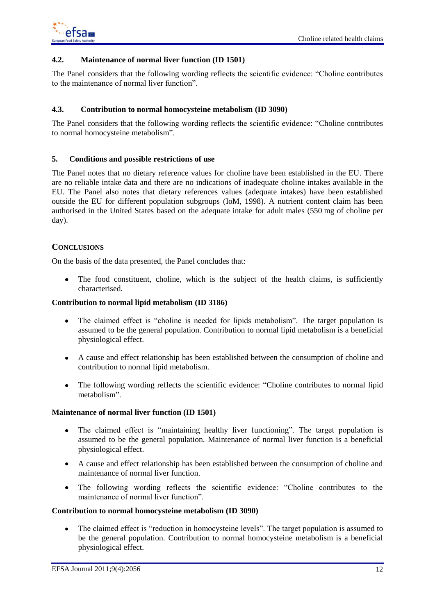

### <span id="page-11-0"></span>**4.2. Maintenance of normal liver function (ID 1501)**

The Panel considers that the following wording reflects the scientific evidence: "Choline contributes to the maintenance of normal liver function".

### <span id="page-11-1"></span>**4.3. Contribution to normal homocysteine metabolism (ID 3090)**

The Panel considers that the following wording reflects the scientific evidence: "Choline contributes to normal homocysteine metabolism".

### <span id="page-11-2"></span>**5. Conditions and possible restrictions of use**

The Panel notes that no dietary reference values for choline have been established in the EU. There are no reliable intake data and there are no indications of inadequate choline intakes available in the EU. The Panel also notes that dietary references values (adequate intakes) have been established outside the EU for different population subgroups (IoM, 1998). A nutrient content claim has been authorised in the United States based on the adequate intake for adult males (550 mg of choline per day).

### <span id="page-11-3"></span>**CONCLUSIONS**

On the basis of the data presented, the Panel concludes that:

The food constituent, choline, which is the subject of the health claims, is sufficiently  $\bullet$ characterised.

### **Contribution to normal lipid metabolism (ID 3186)**

- The claimed effect is "choline is needed for lipids metabolism". The target population is assumed to be the general population. Contribution to normal lipid metabolism is a beneficial physiological effect.
- A cause and effect relationship has been established between the consumption of choline and contribution to normal lipid metabolism.
- The following wording reflects the scientific evidence: "Choline contributes to normal lipid metabolism".

### **Maintenance of normal liver function (ID 1501)**

- The claimed effect is "maintaining healthy liver functioning". The target population is assumed to be the general population. Maintenance of normal liver function is a beneficial physiological effect.
- A cause and effect relationship has been established between the consumption of choline and maintenance of normal liver function.
- The following wording reflects the scientific evidence: "Choline contributes to the maintenance of normal liver function".

### **Contribution to normal homocysteine metabolism (ID 3090)**

 $\bullet$ The claimed effect is "reduction in homocysteine levels". The target population is assumed to be the general population. Contribution to normal homocysteine metabolism is a beneficial physiological effect.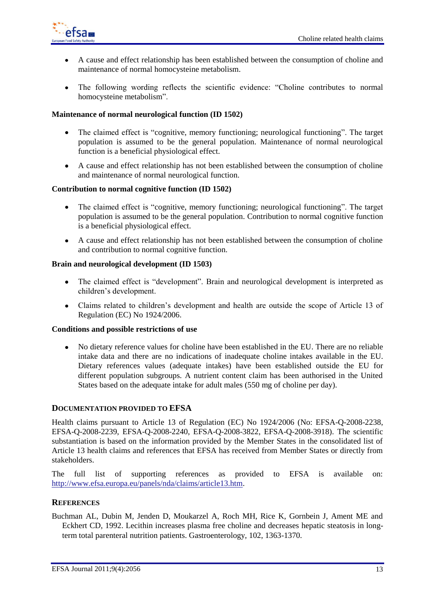

- A cause and effect relationship has been established between the consumption of choline and maintenance of normal homocysteine metabolism.
- The following wording reflects the scientific evidence: "Choline contributes to normal homocysteine metabolism".

## **Maintenance of normal neurological function (ID 1502)**

- The claimed effect is "cognitive, memory functioning; neurological functioning". The target  $\bullet$ population is assumed to be the general population. Maintenance of normal neurological function is a beneficial physiological effect.
- A cause and effect relationship has not been established between the consumption of choline and maintenance of normal neurological function.

### **Contribution to normal cognitive function (ID 1502)**

- The claimed effect is "cognitive, memory functioning; neurological functioning". The target population is assumed to be the general population. Contribution to normal cognitive function is a beneficial physiological effect.
- A cause and effect relationship has not been established between the consumption of choline and contribution to normal cognitive function.

### **Brain and neurological development (ID 1503)**

- The claimed effect is "development". Brain and neurological development is interpreted as  $\bullet$ children's development.
- Claims related to children's development and health are outside the scope of Article 13 of Regulation (EC) No 1924/2006.

### **Conditions and possible restrictions of use**

No dietary reference values for choline have been established in the EU. There are no reliable intake data and there are no indications of inadequate choline intakes available in the EU. Dietary references values (adequate intakes) have been established outside the EU for different population subgroups. A nutrient content claim has been authorised in the United States based on the adequate intake for adult males (550 mg of choline per day).

## <span id="page-12-0"></span>**DOCUMENTATION PROVIDED TO EFSA**

Health claims pursuant to Article 13 of Regulation (EC) No 1924/2006 (No: EFSA-Q-2008-2238, EFSA-Q-2008-2239, EFSA-Q-2008-2240, EFSA-Q-2008-3822, EFSA-Q-2008-3918). The scientific substantiation is based on the information provided by the Member States in the consolidated list of Article 13 health claims and references that EFSA has received from Member States or directly from stakeholders.

The full list of supporting references as provided to EFSA is available on: [http://www.efsa.europa.eu/panels/nda/claims/article13.htm.](http://www.efsa.europa.eu/panels/nda/claims/article13.htm)

### <span id="page-12-1"></span>**REFERENCES**

Buchman AL, Dubin M, Jenden D, Moukarzel A, Roch MH, Rice K, Gornbein J, Ament ME and Eckhert CD, 1992. Lecithin increases plasma free choline and decreases hepatic steatosis in longterm total parenteral nutrition patients. Gastroenterology, 102, 1363-1370.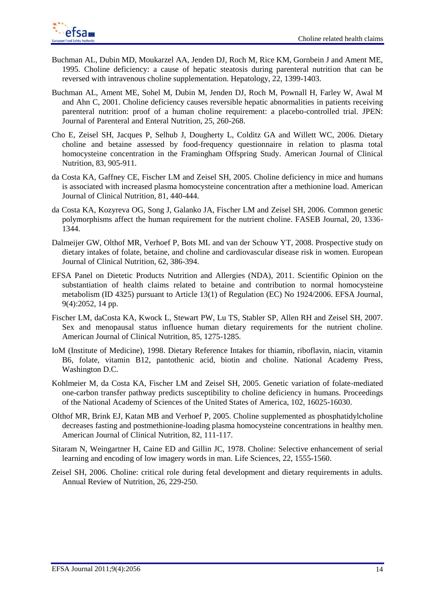

- Buchman AL, Dubin MD, Moukarzel AA, Jenden DJ, Roch M, Rice KM, Gornbein J and Ament ME, 1995. Choline deficiency: a cause of hepatic steatosis during parenteral nutrition that can be reversed with intravenous choline supplementation. Hepatology, 22, 1399-1403.
- Buchman AL, Ament ME, Sohel M, Dubin M, Jenden DJ, Roch M, Pownall H, Farley W, Awal M and Ahn C, 2001. Choline deficiency causes reversible hepatic abnormalities in patients receiving parenteral nutrition: proof of a human choline requirement: a placebo-controlled trial. JPEN: Journal of Parenteral and Enteral Nutrition, 25, 260-268.
- Cho E, Zeisel SH, Jacques P, Selhub J, Dougherty L, Colditz GA and Willett WC, 2006. Dietary choline and betaine assessed by food-frequency questionnaire in relation to plasma total homocysteine concentration in the Framingham Offspring Study. American Journal of Clinical Nutrition, 83, 905-911.
- da Costa KA, Gaffney CE, Fischer LM and Zeisel SH, 2005. Choline deficiency in mice and humans is associated with increased plasma homocysteine concentration after a methionine load. American Journal of Clinical Nutrition, 81, 440-444.
- da Costa KA, Kozyreva OG, Song J, Galanko JA, Fischer LM and Zeisel SH, 2006. Common genetic polymorphisms affect the human requirement for the nutrient choline. FASEB Journal, 20, 1336- 1344.
- Dalmeijer GW, Olthof MR, Verhoef P, Bots ML and van der Schouw YT, 2008. Prospective study on dietary intakes of folate, betaine, and choline and cardiovascular disease risk in women. European Journal of Clinical Nutrition, 62, 386-394.
- EFSA Panel on Dietetic Products Nutrition and Allergies (NDA), 2011. Scientific Opinion on the substantiation of health claims related to betaine and contribution to normal homocysteine metabolism (ID 4325) pursuant to Article 13(1) of Regulation (EC) No 1924/2006. EFSA Journal, 9(4):2052, 14 pp.
- Fischer LM, daCosta KA, Kwock L, Stewart PW, Lu TS, Stabler SP, Allen RH and Zeisel SH, 2007. Sex and menopausal status influence human dietary requirements for the nutrient choline. American Journal of Clinical Nutrition, 85, 1275-1285.
- IoM (Institute of Medicine), 1998. Dietary Reference Intakes for thiamin, riboflavin, niacin, vitamin B6, folate, vitamin B12, pantothenic acid, biotin and choline. National Academy Press, Washington D.C.
- Kohlmeier M, da Costa KA, Fischer LM and Zeisel SH, 2005. Genetic variation of folate-mediated one-carbon transfer pathway predicts susceptibility to choline deficiency in humans. Proceedings of the National Academy of Sciences of the United States of America, 102, 16025-16030.
- Olthof MR, Brink EJ, Katan MB and Verhoef P, 2005. Choline supplemented as phosphatidylcholine decreases fasting and postmethionine-loading plasma homocysteine concentrations in healthy men. American Journal of Clinical Nutrition, 82, 111-117.
- Sitaram N, Weingartner H, Caine ED and Gillin JC, 1978. Choline: Selective enhancement of serial learning and encoding of low imagery words in man. Life Sciences, 22, 1555-1560.
- Zeisel SH, 2006. Choline: critical role during fetal development and dietary requirements in adults. Annual Review of Nutrition, 26, 229-250.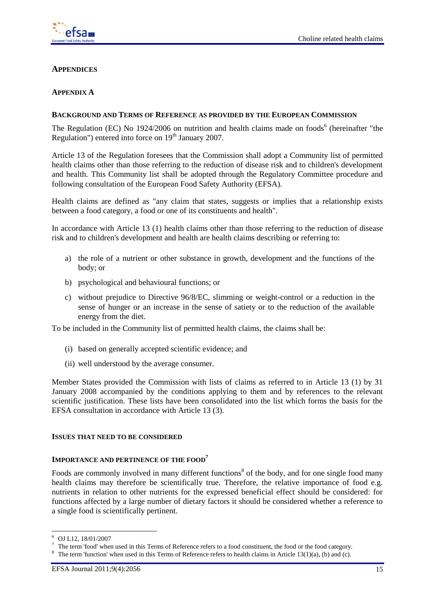

## <span id="page-14-0"></span>**APPENDICES**

## **APPENDIX A**

### **BACKGROUND AND TERMS OF REFERENCE AS PROVIDED BY THE EUROPEAN COMMISSION**

The Regulation (EC) No 1924/2006 on nutrition and health claims made on foods<sup>6</sup> (hereinafter "the Regulation") entered into force on  $19<sup>th</sup>$  January 2007.

Article 13 of the Regulation foresees that the Commission shall adopt a Community list of permitted health claims other than those referring to the reduction of disease risk and to children's development and health. This Community list shall be adopted through the Regulatory Committee procedure and following consultation of the European Food Safety Authority (EFSA).

Health claims are defined as "any claim that states, suggests or implies that a relationship exists between a food category, a food or one of its constituents and health".

In accordance with Article 13 (1) health claims other than those referring to the reduction of disease risk and to children's development and health are health claims describing or referring to:

- a) the role of a nutrient or other substance in growth, development and the functions of the body; or
- b) psychological and behavioural functions; or
- c) without prejudice to Directive 96/8/EC, slimming or weight-control or a reduction in the sense of hunger or an increase in the sense of satiety or to the reduction of the available energy from the diet.

To be included in the Community list of permitted health claims, the claims shall be:

- (i) based on generally accepted scientific evidence; and
- (ii) well understood by the average consumer.

Member States provided the Commission with lists of claims as referred to in Article 13 (1) by 31 January 2008 accompanied by the conditions applying to them and by references to the relevant scientific justification. These lists have been consolidated into the list which forms the basis for the EFSA consultation in accordance with Article 13 (3).

### **ISSUES THAT NEED TO BE CONSIDERED**

### **IMPORTANCE AND PERTINENCE OF THE FOOD<sup>7</sup>**

Foods are commonly involved in many different functions<sup>8</sup> of the body, and for one single food many health claims may therefore be scientifically true. Therefore, the relative importance of food e.g. nutrients in relation to other nutrients for the expressed beneficial effect should be considered: for functions affected by a large number of dietary factors it should be considered whether a reference to a single food is scientifically pertinent.

 $\overline{a}$ 

<sup>6</sup> OJ L12, 18/01/2007

<sup>7</sup> The term 'food' when used in this Terms of Reference refers to a food constituent, the food or the food category.

<sup>8</sup> The term 'function' when used in this Terms of Reference refers to health claims in Article 13(1)(a), (b) and (c).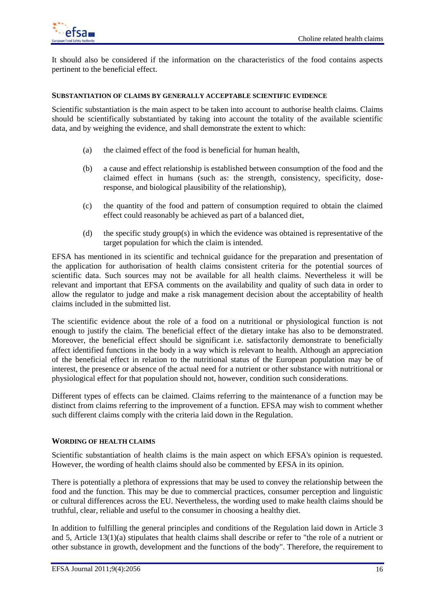

It should also be considered if the information on the characteristics of the food contains aspects pertinent to the beneficial effect.

#### **SUBSTANTIATION OF CLAIMS BY GENERALLY ACCEPTABLE SCIENTIFIC EVIDENCE**

Scientific substantiation is the main aspect to be taken into account to authorise health claims. Claims should be scientifically substantiated by taking into account the totality of the available scientific data, and by weighing the evidence, and shall demonstrate the extent to which:

- (a) the claimed effect of the food is beneficial for human health,
- (b) a cause and effect relationship is established between consumption of the food and the claimed effect in humans (such as: the strength, consistency, specificity, doseresponse, and biological plausibility of the relationship),
- (c) the quantity of the food and pattern of consumption required to obtain the claimed effect could reasonably be achieved as part of a balanced diet,
- (d) the specific study group(s) in which the evidence was obtained is representative of the target population for which the claim is intended.

EFSA has mentioned in its scientific and technical guidance for the preparation and presentation of the application for authorisation of health claims consistent criteria for the potential sources of scientific data. Such sources may not be available for all health claims. Nevertheless it will be relevant and important that EFSA comments on the availability and quality of such data in order to allow the regulator to judge and make a risk management decision about the acceptability of health claims included in the submitted list.

The scientific evidence about the role of a food on a nutritional or physiological function is not enough to justify the claim. The beneficial effect of the dietary intake has also to be demonstrated. Moreover, the beneficial effect should be significant i.e. satisfactorily demonstrate to beneficially affect identified functions in the body in a way which is relevant to health. Although an appreciation of the beneficial effect in relation to the nutritional status of the European population may be of interest, the presence or absence of the actual need for a nutrient or other substance with nutritional or physiological effect for that population should not, however, condition such considerations.

Different types of effects can be claimed. Claims referring to the maintenance of a function may be distinct from claims referring to the improvement of a function. EFSA may wish to comment whether such different claims comply with the criteria laid down in the Regulation.

### **WORDING OF HEALTH CLAIMS**

Scientific substantiation of health claims is the main aspect on which EFSA's opinion is requested. However, the wording of health claims should also be commented by EFSA in its opinion.

There is potentially a plethora of expressions that may be used to convey the relationship between the food and the function. This may be due to commercial practices, consumer perception and linguistic or cultural differences across the EU. Nevertheless, the wording used to make health claims should be truthful, clear, reliable and useful to the consumer in choosing a healthy diet.

In addition to fulfilling the general principles and conditions of the Regulation laid down in Article 3 and 5, Article 13(1)(a) stipulates that health claims shall describe or refer to "the role of a nutrient or other substance in growth, development and the functions of the body". Therefore, the requirement to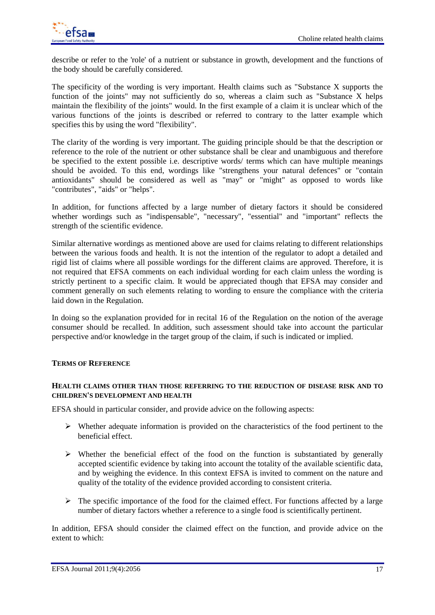

describe or refer to the 'role' of a nutrient or substance in growth, development and the functions of the body should be carefully considered.

The specificity of the wording is very important. Health claims such as "Substance X supports the function of the joints" may not sufficiently do so, whereas a claim such as "Substance X helps maintain the flexibility of the joints" would. In the first example of a claim it is unclear which of the various functions of the joints is described or referred to contrary to the latter example which specifies this by using the word "flexibility".

The clarity of the wording is very important. The guiding principle should be that the description or reference to the role of the nutrient or other substance shall be clear and unambiguous and therefore be specified to the extent possible i.e. descriptive words/ terms which can have multiple meanings should be avoided. To this end, wordings like "strengthens your natural defences" or "contain antioxidants" should be considered as well as "may" or "might" as opposed to words like "contributes", "aids" or "helps".

In addition, for functions affected by a large number of dietary factors it should be considered whether wordings such as "indispensable", "necessary", "essential" and "important" reflects the strength of the scientific evidence.

Similar alternative wordings as mentioned above are used for claims relating to different relationships between the various foods and health. It is not the intention of the regulator to adopt a detailed and rigid list of claims where all possible wordings for the different claims are approved. Therefore, it is not required that EFSA comments on each individual wording for each claim unless the wording is strictly pertinent to a specific claim. It would be appreciated though that EFSA may consider and comment generally on such elements relating to wording to ensure the compliance with the criteria laid down in the Regulation.

In doing so the explanation provided for in recital 16 of the Regulation on the notion of the average consumer should be recalled. In addition, such assessment should take into account the particular perspective and/or knowledge in the target group of the claim, if such is indicated or implied.

### **TERMS OF REFERENCE**

### **HEALTH CLAIMS OTHER THAN THOSE REFERRING TO THE REDUCTION OF DISEASE RISK AND TO CHILDREN'S DEVELOPMENT AND HEALTH**

EFSA should in particular consider, and provide advice on the following aspects:

- $\triangleright$  Whether adequate information is provided on the characteristics of the food pertinent to the beneficial effect.
- $\triangleright$  Whether the beneficial effect of the food on the function is substantiated by generally accepted scientific evidence by taking into account the totality of the available scientific data, and by weighing the evidence. In this context EFSA is invited to comment on the nature and quality of the totality of the evidence provided according to consistent criteria.
- $\triangleright$  The specific importance of the food for the claimed effect. For functions affected by a large number of dietary factors whether a reference to a single food is scientifically pertinent.

In addition, EFSA should consider the claimed effect on the function, and provide advice on the extent to which: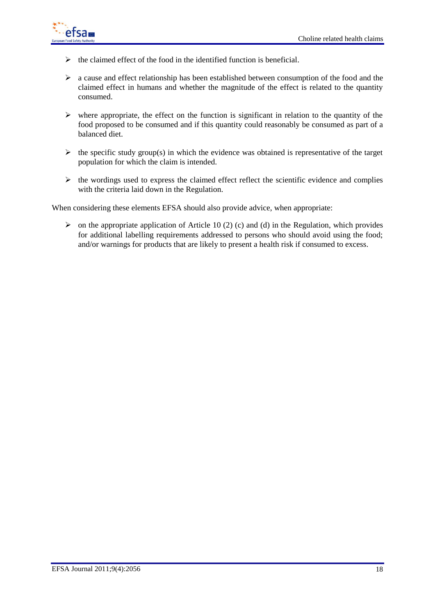

- $\triangleright$  the claimed effect of the food in the identified function is beneficial.
- $\triangleright$  a cause and effect relationship has been established between consumption of the food and the claimed effect in humans and whether the magnitude of the effect is related to the quantity consumed.
- $\triangleright$  where appropriate, the effect on the function is significant in relation to the quantity of the food proposed to be consumed and if this quantity could reasonably be consumed as part of a balanced diet.
- $\triangleright$  the specific study group(s) in which the evidence was obtained is representative of the target population for which the claim is intended.
- $\triangleright$  the wordings used to express the claimed effect reflect the scientific evidence and complies with the criteria laid down in the Regulation.

When considering these elements EFSA should also provide advice, when appropriate:

 $\triangleright$  on the appropriate application of Article 10 (2) (c) and (d) in the Regulation, which provides for additional labelling requirements addressed to persons who should avoid using the food; and/or warnings for products that are likely to present a health risk if consumed to excess.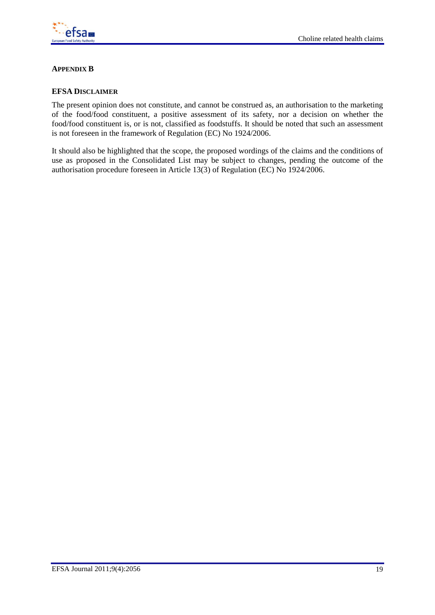

## **APPENDIX B**

### **EFSA DISCLAIMER**

The present opinion does not constitute, and cannot be construed as, an authorisation to the marketing of the food/food constituent, a positive assessment of its safety, nor a decision on whether the food/food constituent is, or is not, classified as foodstuffs. It should be noted that such an assessment is not foreseen in the framework of Regulation (EC) No 1924/2006.

It should also be highlighted that the scope, the proposed wordings of the claims and the conditions of use as proposed in the Consolidated List may be subject to changes, pending the outcome of the authorisation procedure foreseen in Article 13(3) of Regulation (EC) No 1924/2006.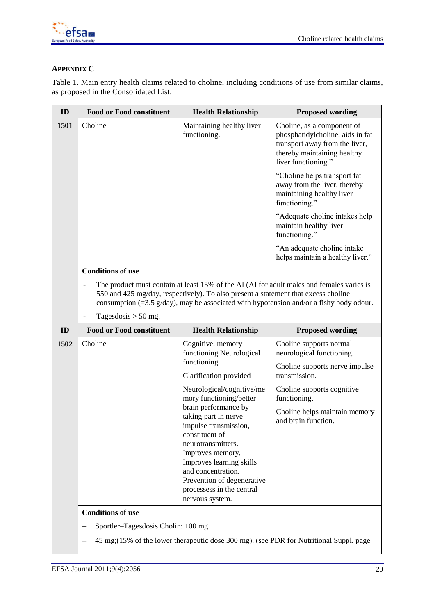



## **APPENDIX C**

Table 1. Main entry health claims related to choline, including conditions of use from similar claims, as proposed in the Consolidated List.

| ID   | <b>Food or Food constituent</b>                                                                                                                                                                                                                                                       | <b>Health Relationship</b>                                                                                                                                    | <b>Proposed wording</b>                                                                                                                                                                |  |  |
|------|---------------------------------------------------------------------------------------------------------------------------------------------------------------------------------------------------------------------------------------------------------------------------------------|---------------------------------------------------------------------------------------------------------------------------------------------------------------|----------------------------------------------------------------------------------------------------------------------------------------------------------------------------------------|--|--|
| 1501 | Choline                                                                                                                                                                                                                                                                               | Maintaining healthy liver<br>functioning.                                                                                                                     | Choline, as a component of<br>phosphatidylcholine, aids in fat<br>transport away from the liver,<br>thereby maintaining healthy<br>liver functioning."<br>"Choline helps transport fat |  |  |
|      |                                                                                                                                                                                                                                                                                       |                                                                                                                                                               | away from the liver, thereby<br>maintaining healthy liver<br>functioning."                                                                                                             |  |  |
|      |                                                                                                                                                                                                                                                                                       |                                                                                                                                                               | "Adequate choline intakes help<br>maintain healthy liver<br>functioning."                                                                                                              |  |  |
|      |                                                                                                                                                                                                                                                                                       |                                                                                                                                                               | "An adequate choline intake<br>helps maintain a healthy liver."                                                                                                                        |  |  |
|      | <b>Conditions of use</b>                                                                                                                                                                                                                                                              |                                                                                                                                                               |                                                                                                                                                                                        |  |  |
|      | The product must contain at least 15% of the AI (AI for adult males and females varies is<br>550 and 425 mg/day, respectively). To also present a statement that excess choline<br>consumption $(=3.5 \text{ g/day})$ , may be associated with hypotension and/or a fishy body odour. |                                                                                                                                                               |                                                                                                                                                                                        |  |  |
|      | Tages dosis $>$ 50 mg.                                                                                                                                                                                                                                                                |                                                                                                                                                               |                                                                                                                                                                                        |  |  |
| ID   | <b>Food or Food constituent</b>                                                                                                                                                                                                                                                       | <b>Health Relationship</b>                                                                                                                                    | <b>Proposed wording</b>                                                                                                                                                                |  |  |
| 1502 | Choline                                                                                                                                                                                                                                                                               | Cognitive, memory<br>functioning Neurological<br>functioning                                                                                                  | Choline supports normal<br>neurological functioning.<br>Choline supports nerve impulse                                                                                                 |  |  |
|      |                                                                                                                                                                                                                                                                                       | <b>Clarification</b> provided                                                                                                                                 | transmission.                                                                                                                                                                          |  |  |
|      |                                                                                                                                                                                                                                                                                       | Neurological/cognitive/me<br>mory functioning/better                                                                                                          | Choline supports cognitive<br>functioning.                                                                                                                                             |  |  |
|      |                                                                                                                                                                                                                                                                                       | brain performance by<br>taking part in nerve<br>impulse transmission,<br>constituent of<br>neurotransmitters.<br>Improves memory.<br>Improves learning skills | Choline helps maintain memory<br>and brain function.                                                                                                                                   |  |  |
|      |                                                                                                                                                                                                                                                                                       | and concentration.                                                                                                                                            |                                                                                                                                                                                        |  |  |
|      |                                                                                                                                                                                                                                                                                       | Prevention of degenerative<br>processess in the central<br>nervous system.                                                                                    |                                                                                                                                                                                        |  |  |
|      |                                                                                                                                                                                                                                                                                       |                                                                                                                                                               |                                                                                                                                                                                        |  |  |
|      | Sportler-Tagesdosis Cholin: 100 mg                                                                                                                                                                                                                                                    |                                                                                                                                                               |                                                                                                                                                                                        |  |  |
|      | 45 mg; (15% of the lower therapeutic dose 300 mg). (see PDR for Nutritional Suppl. page                                                                                                                                                                                               |                                                                                                                                                               |                                                                                                                                                                                        |  |  |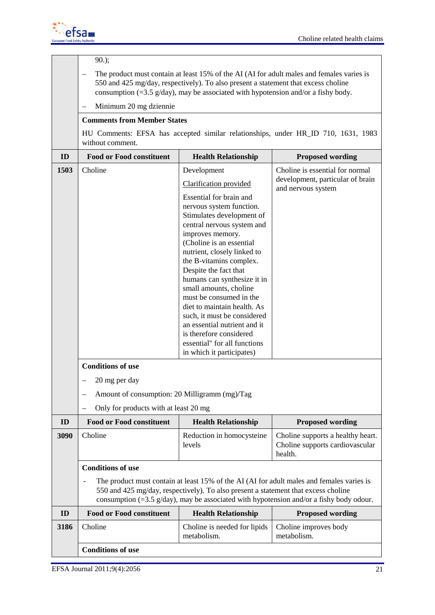

|      | $90.$ ;                                                                                                                                                                                                                                                                                                 |                                                                                                                                                                                                                                                                                                                                                                                                                                                                                                                             |                                                                                 |  |  |
|------|---------------------------------------------------------------------------------------------------------------------------------------------------------------------------------------------------------------------------------------------------------------------------------------------------------|-----------------------------------------------------------------------------------------------------------------------------------------------------------------------------------------------------------------------------------------------------------------------------------------------------------------------------------------------------------------------------------------------------------------------------------------------------------------------------------------------------------------------------|---------------------------------------------------------------------------------|--|--|
|      | The product must contain at least 15% of the AI (AI for adult males and females varies is<br>550 and 425 mg/day, respectively). To also present a statement that excess choline<br>consumption $(=3.5 \text{ g/day})$ , may be associated with hypotension and/or a fishy body.                         |                                                                                                                                                                                                                                                                                                                                                                                                                                                                                                                             |                                                                                 |  |  |
|      | Minimum 20 mg dziennie                                                                                                                                                                                                                                                                                  |                                                                                                                                                                                                                                                                                                                                                                                                                                                                                                                             |                                                                                 |  |  |
|      | <b>Comments from Member States</b>                                                                                                                                                                                                                                                                      |                                                                                                                                                                                                                                                                                                                                                                                                                                                                                                                             |                                                                                 |  |  |
|      | HU Comments: EFSA has accepted similar relationships, under HR_ID 710, 1631, 1983<br>without comment.                                                                                                                                                                                                   |                                                                                                                                                                                                                                                                                                                                                                                                                                                                                                                             |                                                                                 |  |  |
| ID   | <b>Food or Food constituent</b>                                                                                                                                                                                                                                                                         | <b>Health Relationship</b>                                                                                                                                                                                                                                                                                                                                                                                                                                                                                                  | <b>Proposed wording</b>                                                         |  |  |
| 1503 | Choline                                                                                                                                                                                                                                                                                                 | Development                                                                                                                                                                                                                                                                                                                                                                                                                                                                                                                 | Choline is essential for normal                                                 |  |  |
|      |                                                                                                                                                                                                                                                                                                         | <b>Clarification</b> provided                                                                                                                                                                                                                                                                                                                                                                                                                                                                                               | development, particular of brain<br>and nervous system                          |  |  |
|      |                                                                                                                                                                                                                                                                                                         | Essential for brain and<br>nervous system function.<br>Stimulates development of<br>central nervous system and<br>improves memory.<br>(Choline is an essential<br>nutrient, closely linked to<br>the B-vitamins complex.<br>Despite the fact that<br>humans can synthesize it in<br>small amounts, choline<br>must be consumed in the<br>diet to maintain health. As<br>such, it must be considered<br>an essential nutrient and it<br>is therefore considered<br>essential" for all functions<br>in which it participates) |                                                                                 |  |  |
|      | <b>Conditions of use</b>                                                                                                                                                                                                                                                                                |                                                                                                                                                                                                                                                                                                                                                                                                                                                                                                                             |                                                                                 |  |  |
|      | 20 mg per day                                                                                                                                                                                                                                                                                           |                                                                                                                                                                                                                                                                                                                                                                                                                                                                                                                             |                                                                                 |  |  |
|      | Amount of consumption: 20 Milligramm (mg)/Tag<br>$\overline{\phantom{m}}$                                                                                                                                                                                                                               |                                                                                                                                                                                                                                                                                                                                                                                                                                                                                                                             |                                                                                 |  |  |
|      | Only for products with at least 20 mg                                                                                                                                                                                                                                                                   |                                                                                                                                                                                                                                                                                                                                                                                                                                                                                                                             |                                                                                 |  |  |
| ID   | <b>Food or Food constituent</b>                                                                                                                                                                                                                                                                         | <b>Health Relationship</b>                                                                                                                                                                                                                                                                                                                                                                                                                                                                                                  | <b>Proposed wording</b>                                                         |  |  |
| 3090 | Choline                                                                                                                                                                                                                                                                                                 | Reduction in homocysteine<br>levels                                                                                                                                                                                                                                                                                                                                                                                                                                                                                         | Choline supports a healthy heart.<br>Choline supports cardiovascular<br>health. |  |  |
|      | <b>Conditions of use</b>                                                                                                                                                                                                                                                                                |                                                                                                                                                                                                                                                                                                                                                                                                                                                                                                                             |                                                                                 |  |  |
|      | The product must contain at least 15% of the AI (AI for adult males and females varies is<br>$\overline{a}$<br>550 and 425 mg/day, respectively). To also present a statement that excess choline<br>consumption $(=3.5 \text{ g/day})$ , may be associated with hypotension and/or a fishy body odour. |                                                                                                                                                                                                                                                                                                                                                                                                                                                                                                                             |                                                                                 |  |  |
| ID   | <b>Food or Food constituent</b>                                                                                                                                                                                                                                                                         | <b>Health Relationship</b>                                                                                                                                                                                                                                                                                                                                                                                                                                                                                                  | <b>Proposed wording</b>                                                         |  |  |
| 3186 | Choline                                                                                                                                                                                                                                                                                                 | Choline is needed for lipids<br>metabolism.                                                                                                                                                                                                                                                                                                                                                                                                                                                                                 | Choline improves body<br>metabolism.                                            |  |  |
|      | <b>Conditions of use</b>                                                                                                                                                                                                                                                                                |                                                                                                                                                                                                                                                                                                                                                                                                                                                                                                                             |                                                                                 |  |  |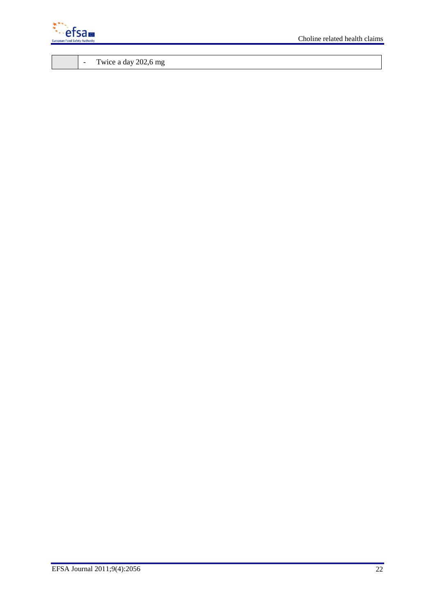

|  |  | Twice a day 202,6 mg |  |
|--|--|----------------------|--|
|--|--|----------------------|--|